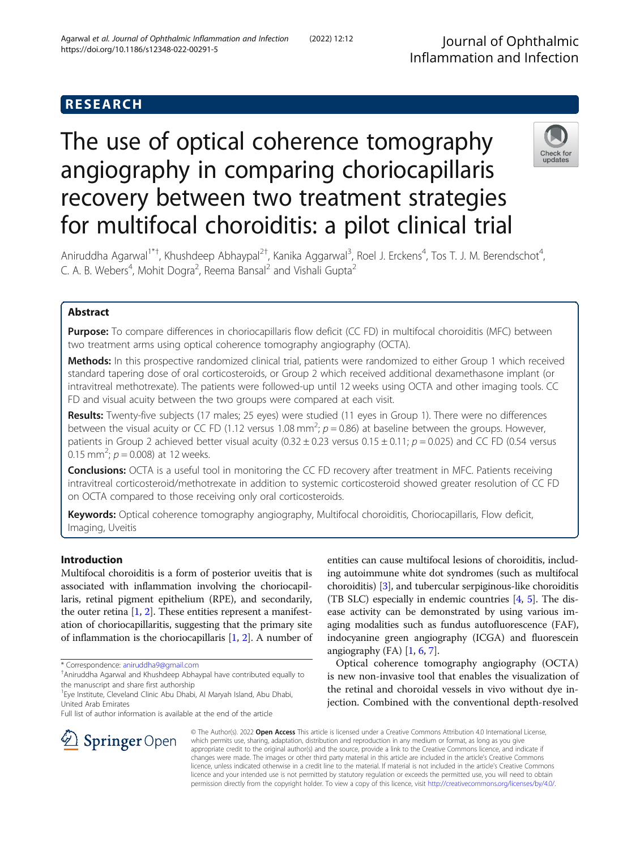## RESEARCH

# The use of optical coherence tomography angiography in comparing choriocapillaris recovery between two treatment strategies for multifocal choroiditis: a pilot clinical trial



Aniruddha Agarwal<sup>1\*†</sup>, Khushdeep Abhaypal<sup>2†</sup>, Kanika Aggarwal<sup>3</sup>, Roel J. Erckens<sup>4</sup>, Tos T. J. M. Berendschot<sup>4</sup> , C. A. B. Webers<sup>4</sup>, Mohit Dogra<sup>2</sup>, Reema Bansal<sup>2</sup> and Vishali Gupta<sup>2</sup>

## Abstract

Purpose: To compare differences in choriocapillaris flow deficit (CC FD) in multifocal choroiditis (MFC) between two treatment arms using optical coherence tomography angiography (OCTA).

Methods: In this prospective randomized clinical trial, patients were randomized to either Group 1 which received standard tapering dose of oral corticosteroids, or Group 2 which received additional dexamethasone implant (or intravitreal methotrexate). The patients were followed-up until 12 weeks using OCTA and other imaging tools. CC FD and visual acuity between the two groups were compared at each visit.

Results: Twenty-five subjects (17 males; 25 eyes) were studied (11 eyes in Group 1). There were no differences between the visual acuity or CC FD (1.12 versus 1.08 mm<sup>2</sup>;  $p = 0.86$ ) at baseline between the groups. However, patients in Group 2 achieved better visual acuity  $(0.32 \pm 0.23$  versus  $0.15 \pm 0.11$ ;  $p = 0.025$ ) and CC FD  $(0.54$  versus 0.15 mm<sup>2</sup>;  $p = 0.008$ ) at 12 weeks.

**Conclusions:** OCTA is a useful tool in monitoring the CC FD recovery after treatment in MFC. Patients receiving intravitreal corticosteroid/methotrexate in addition to systemic corticosteroid showed greater resolution of CC FD on OCTA compared to those receiving only oral corticosteroids.

Keywords: Optical coherence tomography angiography, Multifocal choroiditis, Choriocapillaris, Flow deficit, Imaging, Uveitis

## Introduction

Multifocal choroiditis is a form of posterior uveitis that is associated with inflammation involving the choriocapillaris, retinal pigment epithelium (RPE), and secondarily, the outer retina  $[1, 2]$  $[1, 2]$  $[1, 2]$ . These entities represent a manifestation of choriocapillaritis, suggesting that the primary site of inflammation is the choriocapillaris [[1](#page-7-0), [2](#page-7-0)]. A number of

\* Correspondence: [aniruddha9@gmail.com](mailto:aniruddha9@gmail.com) †

Aniruddha Agarwal and Khushdeep Abhaypal have contributed equally to the manuscript and share first authorship

entities can cause multifocal lesions of choroiditis, including autoimmune white dot syndromes (such as multifocal choroiditis) [\[3\]](#page-7-0), and tubercular serpiginous-like choroiditis (TB SLC) especially in endemic countries [\[4](#page-7-0), [5\]](#page-7-0). The disease activity can be demonstrated by using various imaging modalities such as fundus autofluorescence (FAF), indocyanine green angiography (ICGA) and fluorescein angiography  $(FA)$   $[1, 6, 7]$  $[1, 6, 7]$  $[1, 6, 7]$  $[1, 6, 7]$  $[1, 6, 7]$ .

Optical coherence tomography angiography (OCTA) is new non-invasive tool that enables the visualization of the retinal and choroidal vessels in vivo without dye injection. Combined with the conventional depth-resolved



© The Author(s). 2022 Open Access This article is licensed under a Creative Commons Attribution 4.0 International License, which permits use, sharing, adaptation, distribution and reproduction in any medium or format, as long as you give appropriate credit to the original author(s) and the source, provide a link to the Creative Commons licence, and indicate if changes were made. The images or other third party material in this article are included in the article's Creative Commons licence, unless indicated otherwise in a credit line to the material. If material is not included in the article's Creative Commons licence and your intended use is not permitted by statutory regulation or exceeds the permitted use, you will need to obtain permission directly from the copyright holder. To view a copy of this licence, visit <http://creativecommons.org/licenses/by/4.0/>.

<sup>&</sup>lt;sup>1</sup> Eye Institute, Cleveland Clinic Abu Dhabi, Al Maryah Island, Abu Dhabi, United Arab Emirates

Full list of author information is available at the end of the article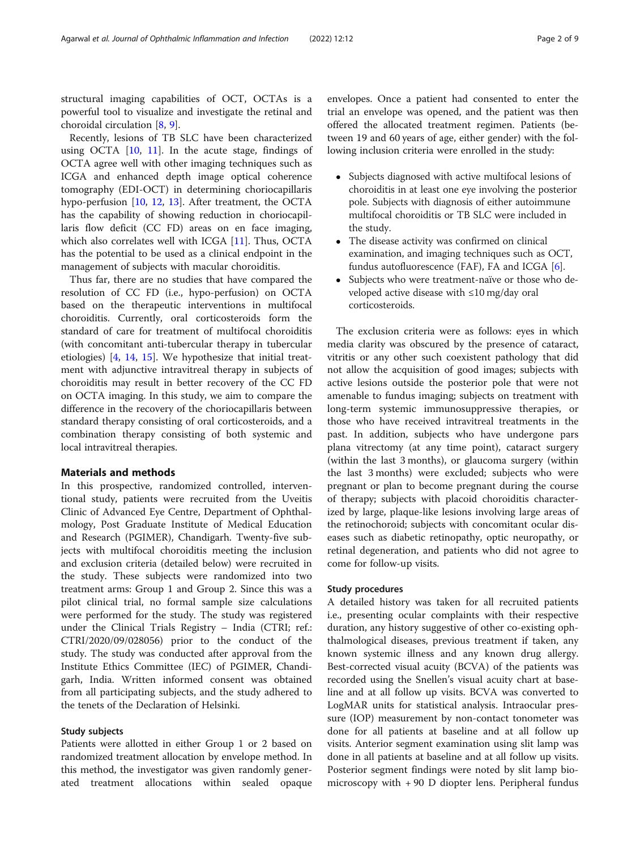structural imaging capabilities of OCT, OCTAs is a powerful tool to visualize and investigate the retinal and choroidal circulation [[8,](#page-7-0) [9\]](#page-7-0).

Recently, lesions of TB SLC have been characterized using OCTA [\[10,](#page-7-0) [11](#page-7-0)]. In the acute stage, findings of OCTA agree well with other imaging techniques such as ICGA and enhanced depth image optical coherence tomography (EDI-OCT) in determining choriocapillaris hypo-perfusion [[10](#page-7-0), [12,](#page-7-0) [13\]](#page-7-0). After treatment, the OCTA has the capability of showing reduction in choriocapillaris flow deficit (CC FD) areas on en face imaging, which also correlates well with ICGA [[11\]](#page-7-0). Thus, OCTA has the potential to be used as a clinical endpoint in the management of subjects with macular choroiditis.

Thus far, there are no studies that have compared the resolution of CC FD (i.e., hypo-perfusion) on OCTA based on the therapeutic interventions in multifocal choroiditis. Currently, oral corticosteroids form the standard of care for treatment of multifocal choroiditis (with concomitant anti-tubercular therapy in tubercular etiologies) [\[4](#page-7-0), [14](#page-7-0), [15\]](#page-7-0). We hypothesize that initial treatment with adjunctive intravitreal therapy in subjects of choroiditis may result in better recovery of the CC FD on OCTA imaging. In this study, we aim to compare the difference in the recovery of the choriocapillaris between standard therapy consisting of oral corticosteroids, and a combination therapy consisting of both systemic and local intravitreal therapies.

#### Materials and methods

In this prospective, randomized controlled, interventional study, patients were recruited from the Uveitis Clinic of Advanced Eye Centre, Department of Ophthalmology, Post Graduate Institute of Medical Education and Research (PGIMER), Chandigarh. Twenty-five subjects with multifocal choroiditis meeting the inclusion and exclusion criteria (detailed below) were recruited in the study. These subjects were randomized into two treatment arms: Group 1 and Group 2. Since this was a pilot clinical trial, no formal sample size calculations were performed for the study. The study was registered under the Clinical Trials Registry – India (CTRI; ref.: CTRI/2020/09/028056) prior to the conduct of the study. The study was conducted after approval from the Institute Ethics Committee (IEC) of PGIMER, Chandigarh, India. Written informed consent was obtained from all participating subjects, and the study adhered to the tenets of the Declaration of Helsinki.

#### Study subjects

Patients were allotted in either Group 1 or 2 based on randomized treatment allocation by envelope method. In this method, the investigator was given randomly generated treatment allocations within sealed opaque

envelopes. Once a patient had consented to enter the trial an envelope was opened, and the patient was then offered the allocated treatment regimen. Patients (between 19 and 60 years of age, either gender) with the following inclusion criteria were enrolled in the study:

- Subjects diagnosed with active multifocal lesions of choroiditis in at least one eye involving the posterior pole. Subjects with diagnosis of either autoimmune multifocal choroiditis or TB SLC were included in the study.
- The disease activity was confirmed on clinical examination, and imaging techniques such as OCT, fundus autofluorescence (FAF), FA and ICGA  $[6]$  $[6]$ .
- Subjects who were treatment-naïve or those who developed active disease with ≤10 mg/day oral corticosteroids.

The exclusion criteria were as follows: eyes in which media clarity was obscured by the presence of cataract, vitritis or any other such coexistent pathology that did not allow the acquisition of good images; subjects with active lesions outside the posterior pole that were not amenable to fundus imaging; subjects on treatment with long-term systemic immunosuppressive therapies, or those who have received intravitreal treatments in the past. In addition, subjects who have undergone pars plana vitrectomy (at any time point), cataract surgery (within the last 3 months), or glaucoma surgery (within the last 3 months) were excluded; subjects who were pregnant or plan to become pregnant during the course of therapy; subjects with placoid choroiditis characterized by large, plaque-like lesions involving large areas of the retinochoroid; subjects with concomitant ocular diseases such as diabetic retinopathy, optic neuropathy, or retinal degeneration, and patients who did not agree to come for follow-up visits.

#### Study procedures

A detailed history was taken for all recruited patients i.e., presenting ocular complaints with their respective duration, any history suggestive of other co-existing ophthalmological diseases, previous treatment if taken, any known systemic illness and any known drug allergy. Best-corrected visual acuity (BCVA) of the patients was recorded using the Snellen's visual acuity chart at baseline and at all follow up visits. BCVA was converted to LogMAR units for statistical analysis. Intraocular pressure (IOP) measurement by non-contact tonometer was done for all patients at baseline and at all follow up visits. Anterior segment examination using slit lamp was done in all patients at baseline and at all follow up visits. Posterior segment findings were noted by slit lamp biomicroscopy with + 90 D diopter lens. Peripheral fundus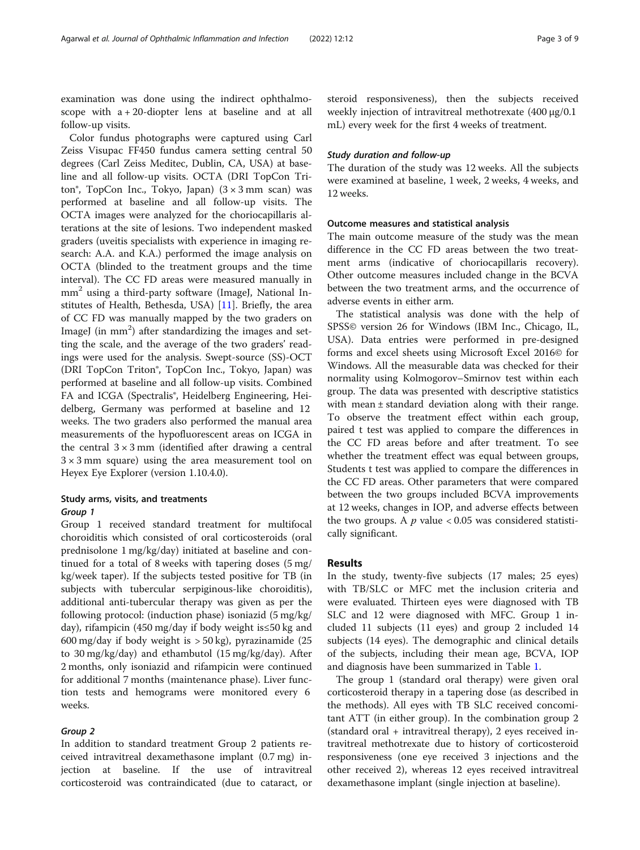examination was done using the indirect ophthalmoscope with  $a + 20$ -diopter lens at baseline and at all follow-up visits.

Color fundus photographs were captured using Carl Zeiss Visupac FF450 fundus camera setting central 50 degrees (Carl Zeiss Meditec, Dublin, CA, USA) at baseline and all follow-up visits. OCTA (DRI TopCon Triton<sup>®</sup>, TopCon Inc., Tokyo, Japan)  $(3 \times 3 \text{ mm} \text{ scan})$  was performed at baseline and all follow-up visits. The OCTA images were analyzed for the choriocapillaris alterations at the site of lesions. Two independent masked graders (uveitis specialists with experience in imaging research: A.A. and K.A.) performed the image analysis on OCTA (blinded to the treatment groups and the time interval). The CC FD areas were measured manually in mm<sup>2</sup> using a third-party software (ImageJ, National Institutes of Health, Bethesda, USA) [\[11\]](#page-7-0). Briefly, the area of CC FD was manually mapped by the two graders on ImageJ (in mm<sup>2</sup>) after standardizing the images and setting the scale, and the average of the two graders' readings were used for the analysis. Swept-source (SS)-OCT (DRI TopCon Triton®, TopCon Inc., Tokyo, Japan) was performed at baseline and all follow-up visits. Combined FA and ICGA (Spectralis<sup>®</sup>, Heidelberg Engineering, Heidelberg, Germany was performed at baseline and 12 weeks. The two graders also performed the manual area measurements of the hypofluorescent areas on ICGA in the central  $3 \times 3$  mm (identified after drawing a central  $3 \times 3$  mm square) using the area measurement tool on Heyex Eye Explorer (version 1.10.4.0).

## Study arms, visits, and treatments Group 1

Group 1 received standard treatment for multifocal choroiditis which consisted of oral corticosteroids (oral prednisolone 1 mg/kg/day) initiated at baseline and continued for a total of 8 weeks with tapering doses (5 mg/ kg/week taper). If the subjects tested positive for TB (in subjects with tubercular serpiginous-like choroiditis), additional anti-tubercular therapy was given as per the following protocol: (induction phase) isoniazid (5 mg/kg/ day), rifampicin (450 mg/day if body weight is≤50 kg and 600 mg/day if body weight is > 50 kg), pyrazinamide (25 to 30 mg/kg/day) and ethambutol (15 mg/kg/day). After 2 months, only isoniazid and rifampicin were continued for additional 7 months (maintenance phase). Liver function tests and hemograms were monitored every 6 weeks.

## Group 2

In addition to standard treatment Group 2 patients received intravitreal dexamethasone implant (0.7 mg) injection at baseline. If the use of intravitreal corticosteroid was contraindicated (due to cataract, or steroid responsiveness), then the subjects received weekly injection of intravitreal methotrexate (400 μg/0.1 mL) every week for the first 4 weeks of treatment.

#### Study duration and follow-up

The duration of the study was 12 weeks. All the subjects were examined at baseline, 1 week, 2 weeks, 4 weeks, and 12 weeks.

#### Outcome measures and statistical analysis

The main outcome measure of the study was the mean difference in the CC FD areas between the two treatment arms (indicative of choriocapillaris recovery). Other outcome measures included change in the BCVA between the two treatment arms, and the occurrence of adverse events in either arm.

The statistical analysis was done with the help of SPSS© version 26 for Windows (IBM Inc., Chicago, IL, USA). Data entries were performed in pre-designed forms and excel sheets using Microsoft Excel 2016© for Windows. All the measurable data was checked for their normality using Kolmogorov–Smirnov test within each group. The data was presented with descriptive statistics with mean ± standard deviation along with their range. To observe the treatment effect within each group, paired t test was applied to compare the differences in the CC FD areas before and after treatment. To see whether the treatment effect was equal between groups, Students t test was applied to compare the differences in the CC FD areas. Other parameters that were compared between the two groups included BCVA improvements at 12 weeks, changes in IOP, and adverse effects between the two groups. A  $p$  value  $<0.05$  was considered statistically significant.

#### Results

In the study, twenty-five subjects (17 males; 25 eyes) with TB/SLC or MFC met the inclusion criteria and were evaluated. Thirteen eyes were diagnosed with TB SLC and 12 were diagnosed with MFC. Group 1 included 11 subjects (11 eyes) and group 2 included 14 subjects (14 eyes). The demographic and clinical details of the subjects, including their mean age, BCVA, IOP and diagnosis have been summarized in Table [1.](#page-3-0)

The group 1 (standard oral therapy) were given oral corticosteroid therapy in a tapering dose (as described in the methods). All eyes with TB SLC received concomitant ATT (in either group). In the combination group 2 (standard oral + intravitreal therapy), 2 eyes received intravitreal methotrexate due to history of corticosteroid responsiveness (one eye received 3 injections and the other received 2), whereas 12 eyes received intravitreal dexamethasone implant (single injection at baseline).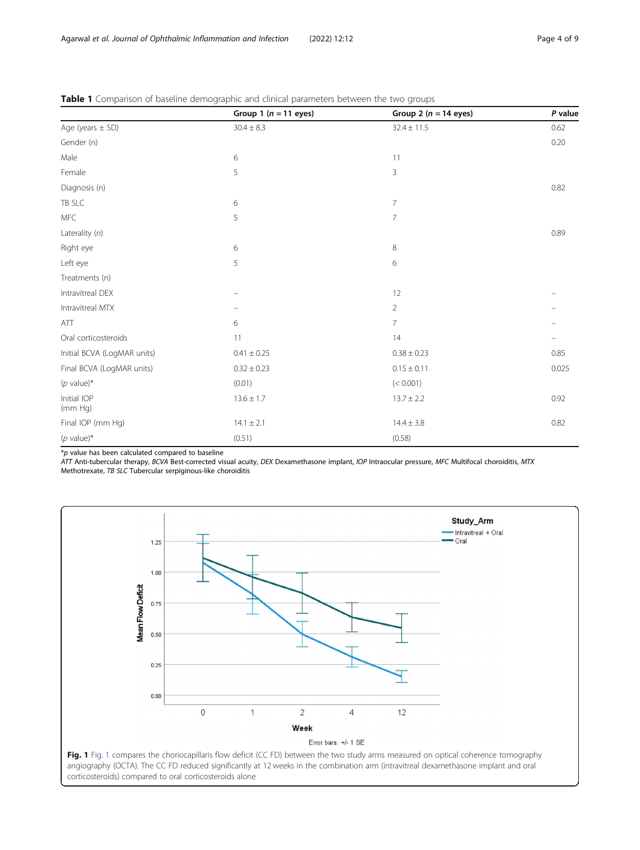|                             | Group 1 ( $n = 11$ eyes) | Group 2 ( $n = 14$ eyes) | P value |
|-----------------------------|--------------------------|--------------------------|---------|
| Age (years $\pm$ SD)        | $30.4 \pm 8.3$           | $32.4 \pm 11.5$          | 0.62    |
| Gender (n)                  |                          |                          | 0.20    |
| Male                        | 6                        | 11                       |         |
| Female                      | 5                        | 3                        |         |
| Diagnosis (n)               |                          |                          | 0.82    |
| TB SLC                      | 6                        | $\overline{7}$           |         |
| MFC                         | 5                        | 7                        |         |
| Laterality (n)              |                          |                          | 0.89    |
| Right eye                   | 6                        | 8                        |         |
| Left eye                    | 5                        | 6                        |         |
| Treatments (n)              |                          |                          |         |
| Intravitreal DEX            |                          | 12                       |         |
| Intravitreal MTX            |                          | $\overline{2}$           |         |
| ATT                         | 6                        | $\overline{7}$           |         |
| Oral corticosteroids        | 11                       | 14                       |         |
| Initial BCVA (LogMAR units) | $0.41 \pm 0.25$          | $0.38 \pm 0.23$          | 0.85    |
| Final BCVA (LogMAR units)   | $0.32 \pm 0.23$          | $0.15 \pm 0.11$          | 0.025   |
| ( $p$ value)*               | (0.01)                   | (< 0.001)                |         |
| Initial IOP<br>(mm Hq)      | $13.6 \pm 1.7$           | $13.7 \pm 2.2$           | 0.92    |
| Final IOP (mm Hg)           | $14.1 \pm 2.1$           | $14.4 \pm 3.8$           | 0.82    |
| $(p$ value)*                | (0.51)                   | (0.58)                   |         |

<span id="page-3-0"></span>Table 1 Comparison of baseline demographic and clinical parameters between the two groups

 $*$ p value has been calculated compared to baseline

ATT Anti-tubercular therapy, BCVA Best-corrected visual acuity, DEX Dexamethasone implant, IOP Intraocular pressure, MFC Multifocal choroiditis, MTX Methotrexate, TB SLC Tubercular serpiginous-like choroiditis

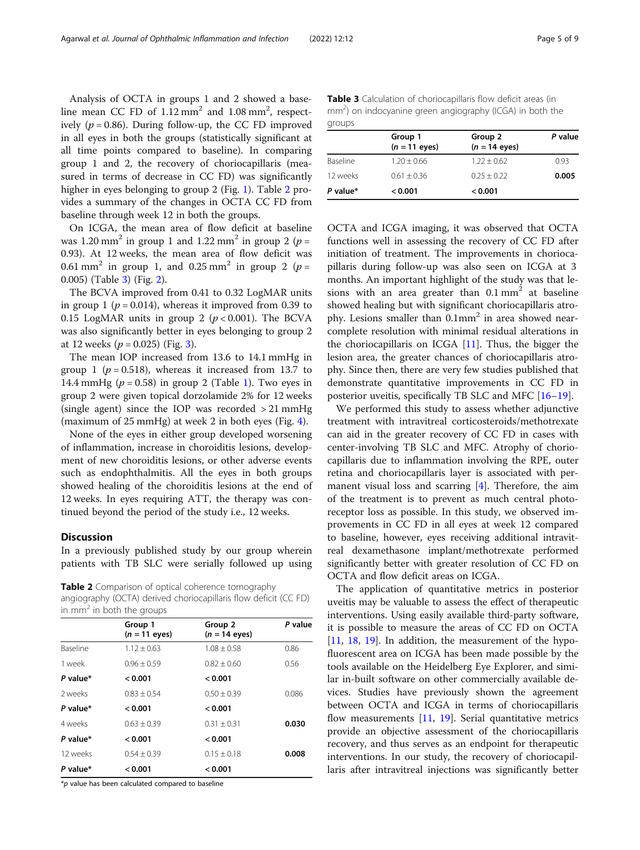Analysis of OCTA in groups 1 and 2 showed a baseline mean CC FD of  $1.12 \text{ mm}^2$  and  $1.08 \text{ mm}^2$ , respectively ( $p = 0.86$ ). During follow-up, the CC FD improved in all eyes in both the groups (statistically significant at all time points compared to baseline). In comparing group 1 and 2, the recovery of choriocapillaris (measured in terms of decrease in CC FD) was significantly higher in eyes belonging to group 2 (Fig. [1\)](#page-3-0). Table 2 provides a summary of the changes in OCTA CC FD from baseline through week 12 in both the groups.

On ICGA, the mean area of flow deficit at baseline was 1.20 mm<sup>2</sup> in group 1 and 1.22 mm<sup>2</sup> in group 2 ( $p =$ 0.93). At 12 weeks, the mean area of flow deficit was 0.61 mm<sup>2</sup> in group 1, and 0.25 mm<sup>2</sup> in group 2 ( $p =$ 0.005) (Table 3) (Fig. [2](#page-5-0)).

The BCVA improved from 0.41 to 0.32 LogMAR units in group 1 ( $p = 0.014$ ), whereas it improved from 0.39 to 0.15 LogMAR units in group 2 ( $p < 0.001$ ). The BCVA was also significantly better in eyes belonging to group 2 at 12 weeks ( $p = 0.025$ ) (Fig. [3\)](#page-5-0).

The mean IOP increased from 13.6 to 14.1 mmHg in group 1 ( $p = 0.518$ ), whereas it increased from 13.7 to [1](#page-3-0)4.4 mmHg ( $p = 0.58$ ) in group 2 (Table 1). Two eyes in group 2 were given topical dorzolamide 2% for 12 weeks (single agent) since the IOP was recorded > 21 mmHg (maximum of 25 mmHg) at week 2 in both eyes (Fig. [4\)](#page-6-0).

None of the eyes in either group developed worsening of inflammation, increase in choroiditis lesions, development of new choroiditis lesions, or other adverse events such as endophthalmitis. All the eyes in both groups showed healing of the choroiditis lesions at the end of 12 weeks. In eyes requiring ATT, the therapy was continued beyond the period of the study i.e., 12 weeks.

#### **Discussion**

In a previously published study by our group wherein patients with TB SLC were serially followed up using

Table 2 Comparison of optical coherence tomography angiography (OCTA) derived choriocapillaris flow deficit (CC FD) in  $mm<sup>2</sup>$  in both the groups

| Group 1<br>$(n = 11 \text{ eyes})$ | Group 2<br>$(n = 14 \text{ eyes})$ | P value |  |
|------------------------------------|------------------------------------|---------|--|
| $1.12 \pm 0.63$                    | $1.08 \pm 0.58$                    | 0.86    |  |
| $0.96 + 0.59$                      | $0.82 + 0.60$                      | 0.56    |  |
| < 0.001                            | < 0.001                            |         |  |
| $0.83 \pm 0.54$                    | $0.50 \pm 0.39$                    | 0.086   |  |
| < 0.001                            | < 0.001                            |         |  |
| $0.63 \pm 0.39$                    | $0.31 \pm 0.31$                    | 0.030   |  |
| < 0.001                            | < 0.001                            |         |  |
| $0.54 + 0.39$                      | $0.15 \pm 0.18$                    | 0.008   |  |
| < 0.001                            | < 0.001                            |         |  |
|                                    |                                    |         |  |

 $*$ p value has been calculated compared to baseline

Table 3 Calculation of choriocapillaris flow deficit areas (in mm<sup>2</sup>) on indocyanine green angiography (ICGA) in both the groups

| $\sim$   |                            |                                    |         |  |  |
|----------|----------------------------|------------------------------------|---------|--|--|
|          | Group 1<br>$(n = 11$ eyes) | Group 2<br>$(n = 14 \text{ eyes})$ | P value |  |  |
| Baseline | $1.20 \pm 0.66$            | $1.22 + 0.62$                      | 0.93    |  |  |
| 12 weeks | $0.61 \pm 0.36$            | $0.25 + 0.22$                      | 0.005   |  |  |
| P value* | < 0.001                    | < 0.001                            |         |  |  |

OCTA and ICGA imaging, it was observed that OCTA functions well in assessing the recovery of CC FD after initiation of treatment. The improvements in choriocapillaris during follow-up was also seen on ICGA at 3 months. An important highlight of the study was that lesions with an area greater than  $0.1 \text{ mm}^2$  at baseline showed healing but with significant choriocapillaris atrophy. Lesions smaller than  $0.1$ mm<sup>2</sup> in area showed nearcomplete resolution with minimal residual alterations in the choriocapillaris on ICGA [[11](#page-7-0)]. Thus, the bigger the lesion area, the greater chances of choriocapillaris atrophy. Since then, there are very few studies published that demonstrate quantitative improvements in CC FD in posterior uveitis, specifically TB SLC and MFC [\[16](#page-7-0)–[19\]](#page-7-0).

We performed this study to assess whether adjunctive treatment with intravitreal corticosteroids/methotrexate can aid in the greater recovery of CC FD in cases with center-involving TB SLC and MFC. Atrophy of choriocapillaris due to inflammation involving the RPE, outer retina and choriocapillaris layer is associated with permanent visual loss and scarring [\[4](#page-7-0)]. Therefore, the aim of the treatment is to prevent as much central photoreceptor loss as possible. In this study, we observed improvements in CC FD in all eyes at week 12 compared to baseline, however, eyes receiving additional intravitreal dexamethasone implant/methotrexate performed significantly better with greater resolution of CC FD on OCTA and flow deficit areas on ICGA.

The application of quantitative metrics in posterior uveitis may be valuable to assess the effect of therapeutic interventions. Using easily available third-party software, it is possible to measure the areas of CC FD on OCTA [[11,](#page-7-0) [18,](#page-7-0) [19](#page-7-0)]. In addition, the measurement of the hypofluorescent area on ICGA has been made possible by the tools available on the Heidelberg Eye Explorer, and similar in-built software on other commercially available devices. Studies have previously shown the agreement between OCTA and ICGA in terms of choriocapillaris flow measurements [\[11,](#page-7-0) [19](#page-7-0)]. Serial quantitative metrics provide an objective assessment of the choriocapillaris recovery, and thus serves as an endpoint for therapeutic interventions. In our study, the recovery of choriocapillaris after intravitreal injections was significantly better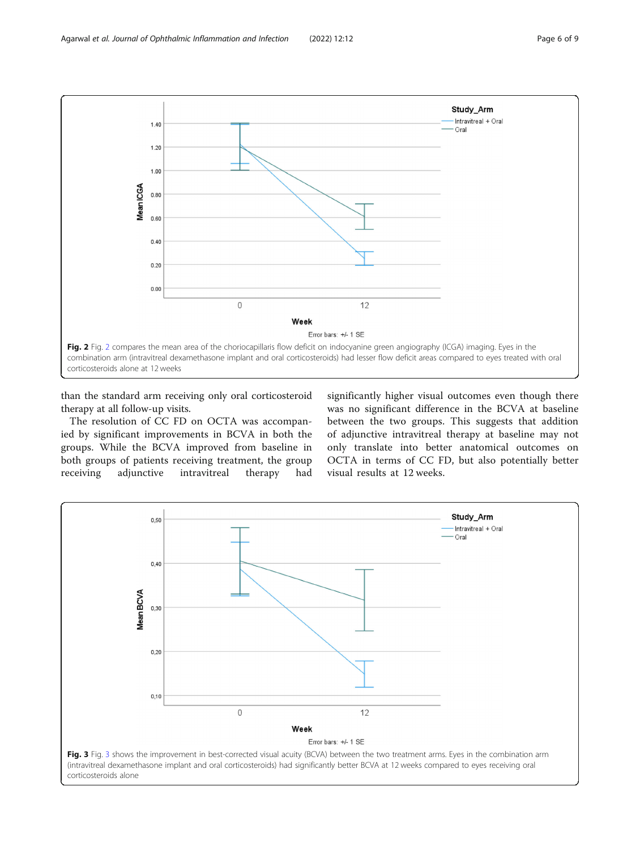<span id="page-5-0"></span>

than the standard arm receiving only oral corticosteroid therapy at all follow-up visits.

The resolution of CC FD on OCTA was accompanied by significant improvements in BCVA in both the groups. While the BCVA improved from baseline in both groups of patients receiving treatment, the group receiving adjunctive intravitreal therapy had

significantly higher visual outcomes even though there was no significant difference in the BCVA at baseline between the two groups. This suggests that addition of adjunctive intravitreal therapy at baseline may not only translate into better anatomical outcomes on OCTA in terms of CC FD, but also potentially better visual results at 12 weeks.

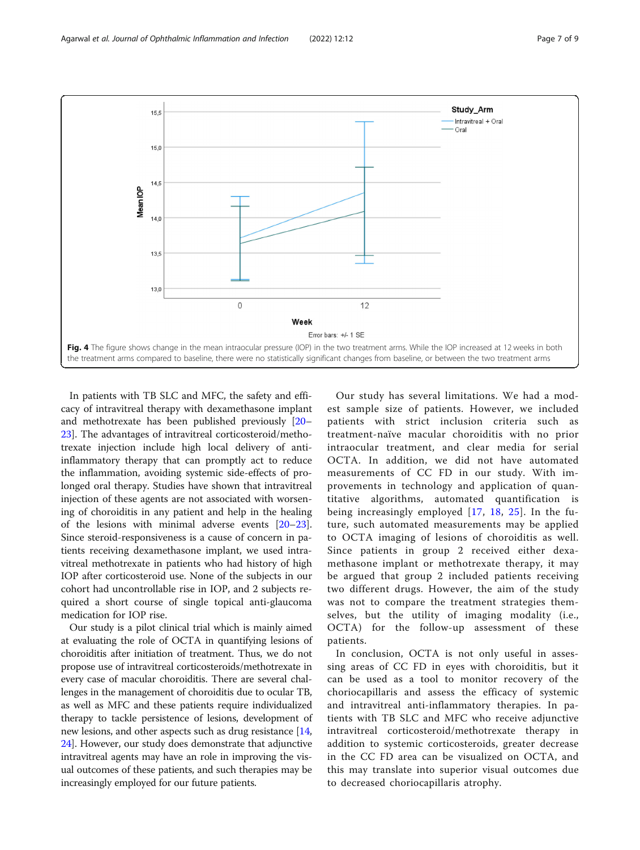<span id="page-6-0"></span>

In patients with TB SLC and MFC, the safety and efficacy of intravitreal therapy with dexamethasone implant and methotrexate has been published previously [[20](#page-7-0)– [23\]](#page-8-0). The advantages of intravitreal corticosteroid/methotrexate injection include high local delivery of antiinflammatory therapy that can promptly act to reduce the inflammation, avoiding systemic side-effects of prolonged oral therapy. Studies have shown that intravitreal injection of these agents are not associated with worsening of choroiditis in any patient and help in the healing of the lesions with minimal adverse events [[20](#page-7-0)–[23](#page-8-0)]. Since steroid-responsiveness is a cause of concern in patients receiving dexamethasone implant, we used intravitreal methotrexate in patients who had history of high IOP after corticosteroid use. None of the subjects in our cohort had uncontrollable rise in IOP, and 2 subjects required a short course of single topical anti-glaucoma medication for IOP rise.

Our study is a pilot clinical trial which is mainly aimed at evaluating the role of OCTA in quantifying lesions of choroiditis after initiation of treatment. Thus, we do not propose use of intravitreal corticosteroids/methotrexate in every case of macular choroiditis. There are several challenges in the management of choroiditis due to ocular TB, as well as MFC and these patients require individualized therapy to tackle persistence of lesions, development of new lesions, and other aspects such as drug resistance [[14](#page-7-0), [24](#page-8-0)]. However, our study does demonstrate that adjunctive intravitreal agents may have an role in improving the visual outcomes of these patients, and such therapies may be increasingly employed for our future patients.

Our study has several limitations. We had a modest sample size of patients. However, we included patients with strict inclusion criteria such as treatment-naïve macular choroiditis with no prior intraocular treatment, and clear media for serial OCTA. In addition, we did not have automated measurements of CC FD in our study. With improvements in technology and application of quantitative algorithms, automated quantification is being increasingly employed [[17](#page-7-0), [18,](#page-7-0) [25\]](#page-8-0). In the future, such automated measurements may be applied to OCTA imaging of lesions of choroiditis as well. Since patients in group 2 received either dexamethasone implant or methotrexate therapy, it may be argued that group 2 included patients receiving two different drugs. However, the aim of the study was not to compare the treatment strategies themselves, but the utility of imaging modality (i.e., OCTA) for the follow-up assessment of these patients.

In conclusion, OCTA is not only useful in assessing areas of CC FD in eyes with choroiditis, but it can be used as a tool to monitor recovery of the choriocapillaris and assess the efficacy of systemic and intravitreal anti-inflammatory therapies. In patients with TB SLC and MFC who receive adjunctive intravitreal corticosteroid/methotrexate therapy in addition to systemic corticosteroids, greater decrease in the CC FD area can be visualized on OCTA, and this may translate into superior visual outcomes due to decreased choriocapillaris atrophy.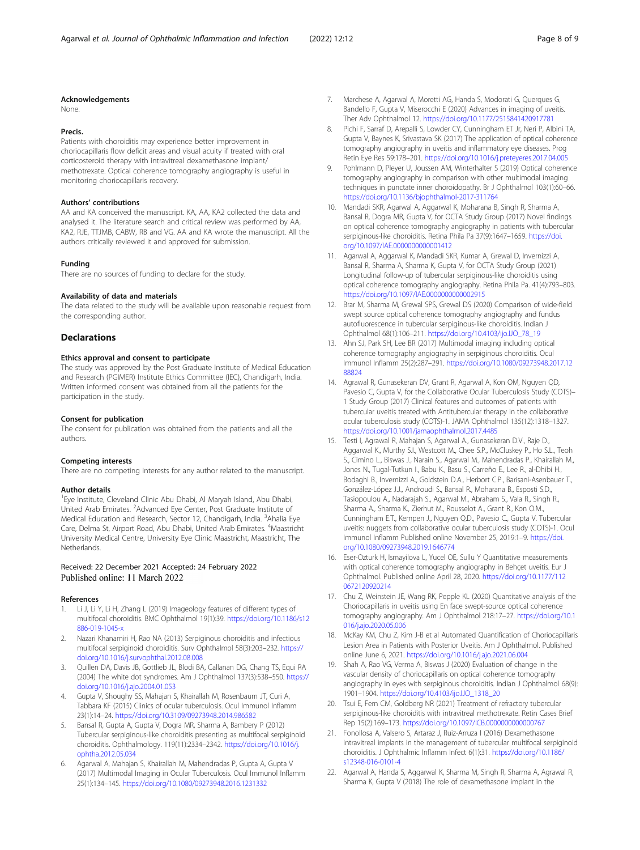#### <span id="page-7-0"></span>Acknowledgements

None.

#### Precis.

Patients with choroiditis may experience better improvement in choriocapillaris flow deficit areas and visual acuity if treated with oral corticosteroid therapy with intravitreal dexamethasone implant/ methotrexate. Optical coherence tomography angiography is useful in monitoring choriocapillaris recovery.

#### Authors' contributions

AA and KA conceived the manuscript. KA, AA, KA2 collected the data and analysed it. The literature search and critical review was performed by AA, KA2, RJE, TTJMB, CABW, RB and VG. AA and KA wrote the manuscript. All the authors critically reviewed it and approved for submission.

#### Funding

There are no sources of funding to declare for the study.

#### Availability of data and materials

The data related to the study will be available upon reasonable request from the corresponding author.

#### **Declarations**

#### Ethics approval and consent to participate

The study was approved by the Post Graduate Institute of Medical Education and Research (PGIMER) Institute Ethics Committee (IEC), Chandigarh, India. Written informed consent was obtained from all the patients for the participation in the study.

#### Consent for publication

The consent for publication was obtained from the patients and all the authors.

#### Competing interests

There are no competing interests for any author related to the manuscript.

#### Author details

<sup>1</sup> Eye Institute, Cleveland Clinic Abu Dhabi, Al Maryah Island, Abu Dhabi, United Arab Emirates. <sup>2</sup>Advanced Eye Center, Post Graduate Institute of Medical Education and Research, Sector 12, Chandigarh, India. <sup>3</sup>Ahalia Eye Care, Delma St, Airport Road, Abu Dhabi, United Arab Emirates. <sup>4</sup>Maastricht University Medical Centre, University Eye Clinic Maastricht, Maastricht, The Netherlands.

### Received: 22 December 2021 Accepted: 24 February 2022 Published online: 11 March 2022

#### References

- Li J, Li Y, Li H, Zhang L (2019) Imageology features of different types of multifocal choroiditis. BMC Ophthalmol 19(1):39. [https://doi.org/10.1186/s12](https://doi.org/10.1186/s12886-019-1045-x) 886-019-1045-y
- 2. Nazari Khanamiri H, Rao NA (2013) Serpiginous choroiditis and infectious multifocal serpiginoid choroiditis. Surv Ophthalmol 58(3):203–232. [https://](https://doi.org/10.1016/j.survophthal.2012.08.008) [doi.org/10.1016/j.survophthal.2012.08.008](https://doi.org/10.1016/j.survophthal.2012.08.008)
- Quillen DA, Davis JB, Gottlieb JL, Blodi BA, Callanan DG, Chang TS, Equi RA (2004) The white dot syndromes. Am J Ophthalmol 137(3):538–550. [https://](https://doi.org/10.1016/j.ajo.2004.01.053) [doi.org/10.1016/j.ajo.2004.01.053](https://doi.org/10.1016/j.ajo.2004.01.053)
- 4. Gupta V, Shoughy SS, Mahajan S, Khairallah M, Rosenbaum JT, Curi A, Tabbara KF (2015) Clinics of ocular tuberculosis. Ocul Immunol Inflamm 23(1):14–24. <https://doi.org/10.3109/09273948.2014.986582>
- 5. Bansal R, Gupta A, Gupta V, Dogra MR, Sharma A, Bambery P (2012) Tubercular serpiginous-like choroiditis presenting as multifocal serpiginoid choroiditis. Ophthalmology. 119(11):2334–2342. [https://doi.org/10.1016/j.](https://doi.org/10.1016/j.ophtha.2012.05.034) [ophtha.2012.05.034](https://doi.org/10.1016/j.ophtha.2012.05.034)
- 6. Agarwal A, Mahajan S, Khairallah M, Mahendradas P, Gupta A, Gupta V (2017) Multimodal Imaging in Ocular Tuberculosis. Ocul Immunol Inflamm 25(1):134–145. <https://doi.org/10.1080/09273948.2016.1231332>
- 7. Marchese A, Agarwal A, Moretti AG, Handa S, Modorati G, Querques G, Bandello F, Gupta V, Miserocchi E (2020) Advances in imaging of uveitis. Ther Adv Ophthalmol 12. <https://doi.org/10.1177/2515841420917781>
- Pichi F, Sarraf D, Arepalli S, Lowder CY, Cunningham ET Jr, Neri P, Albini TA, Gupta V, Baynes K, Srivastava SK (2017) The application of optical coherence tomography angiography in uveitis and inflammatory eye diseases. Prog Retin Eye Res 59:178–201. <https://doi.org/10.1016/j.preteyeres.2017.04.005>
- 9. Pohlmann D, Pleyer U, Joussen AM, Winterhalter S (2019) Optical coherence tomography angiography in comparison with other multimodal imaging techniques in punctate inner choroidopathy. Br J Ophthalmol 103(1):60–66. <https://doi.org/10.1136/bjophthalmol-2017-311764>
- 10. Mandadi SKR, Agarwal A, Aggarwal K, Moharana B, Singh R, Sharma A, Bansal R, Dogra MR, Gupta V, for OCTA Study Group (2017) Novel findings on optical coherence tomography angiography in patients with tubercular serpiginous-like choroiditis. Retina Phila Pa 37(9):1647–1659. [https://doi.](https://doi.org/10.1097/IAE.0000000000001412) [org/10.1097/IAE.0000000000001412](https://doi.org/10.1097/IAE.0000000000001412)
- 11. Agarwal A, Aggarwal K, Mandadi SKR, Kumar A, Grewal D, Invernizzi A, Bansal R, Sharma A, Sharma K, Gupta V, for OCTA Study Group (2021) Longitudinal follow-up of tubercular serpiginous-like choroiditis using optical coherence tomography angiography. Retina Phila Pa. 41(4):793–803. <https://doi.org/10.1097/IAE.0000000000002915>
- 12. Brar M, Sharma M, Grewal SPS, Grewal DS (2020) Comparison of wide-field swept source optical coherence tomography angiography and fundus autofluorescence in tubercular serpiginous-like choroiditis. Indian J Ophthalmol 68(1):106–211. [https://doi.org/10.4103/ijo.IJO\\_78\\_19](https://doi.org/10.4103/ijo.IJO_78_19)
- 13. Ahn SJ, Park SH, Lee BR (2017) Multimodal imaging including optical coherence tomography angiography in serpiginous choroiditis. Ocul Immunol Inflamm 25(2):287–291. [https://doi.org/10.1080/09273948.2017.12](https://doi.org/10.1080/09273948.2017.1288824) [88824](https://doi.org/10.1080/09273948.2017.1288824)
- 14. Agrawal R, Gunasekeran DV, Grant R, Agarwal A, Kon OM, Nguyen QD, Pavesio C, Gupta V, for the Collaborative Ocular Tuberculosis Study (COTS)– 1 Study Group (2017) Clinical features and outcomes of patients with tubercular uveitis treated with Antitubercular therapy in the collaborative ocular tuberculosis study (COTS)-1. JAMA Ophthalmol 135(12):1318–1327. <https://doi.org/10.1001/jamaophthalmol.2017.4485>
- 15. Testi I, Agrawal R, Mahajan S, Agarwal A., Gunasekeran D.V., Raje D., Aggarwal K., Murthy S.I., Westcott M., Chee S.P., McCluskey P., Ho S.L., Teoh S., Cimino L., Biswas J., Narain S., Agarwal M., Mahendradas P., Khairallah M., Jones N., Tugal-Tutkun I., Babu K., Basu S., Carreño E., Lee R., al-Dhibi H., Bodaghi B., Invernizzi A., Goldstein D.A., Herbort C.P., Barisani-Asenbauer T., González-López J.J., Androudi S., Bansal R., Moharana B., Esposti S.D., Tasiopoulou A., Nadarajah S., Agarwal M., Abraham S., Vala R., Singh R., Sharma A., Sharma K., Zierhut M., Rousselot A., Grant R., Kon O.M., Cunningham E.T., Kempen J., Nguyen Q.D., Pavesio C., Gupta V. Tubercular uveitis: nuggets from collaborative ocular tuberculosis study (COTS)-1. Ocul Immunol Inflamm Published online November 25, 2019:1–9. [https://doi.](https://doi.org/10.1080/09273948.2019.1646774) [org/10.1080/09273948.2019.1646774](https://doi.org/10.1080/09273948.2019.1646774)
- 16. Eser-Ozturk H, Ismayilova L, Yucel OE, Sullu Y Quantitative measurements with optical coherence tomography angiography in Behçet uveitis. Eur J Ophthalmol. Published online April 28, 2020. [https://doi.org/10.1177/112](https://doi.org/10.1177/1120672120920214) [0672120920214](https://doi.org/10.1177/1120672120920214)
- 17. Chu Z, Weinstein JE, Wang RK, Pepple KL (2020) Quantitative analysis of the Choriocapillaris in uveitis using En face swept-source optical coherence tomography angiography. Am J Ophthalmol 218:17–27. [https://doi.org/10.1](https://doi.org/10.1016/j.ajo.2020.05.006) [016/j.ajo.2020.05.006](https://doi.org/10.1016/j.ajo.2020.05.006)
- 18. McKay KM, Chu Z, Kim J-B et al Automated Quantification of Choriocapillaris Lesion Area in Patients with Posterior Uveitis. Am J Ophthalmol. Published online June 6, 2021. <https://doi.org/10.1016/j.ajo.2021.06.004>
- 19. Shah A, Rao VG, Verma A, Biswas J (2020) Evaluation of change in the vascular density of choriocapillaris on optical coherence tomography angiography in eyes with serpiginous choroiditis. Indian J Ophthalmol 68(9): 1901–1904. [https://doi.org/10.4103/ijo.IJO\\_1318\\_20](https://doi.org/10.4103/ijo.IJO_1318_20)
- 20. Tsui E, Fern CM, Goldberg NR (2021) Treatment of refractory tubercular serpiginous-like choroiditis with intravitreal methotrexate. Retin Cases Brief Rep 15(2):169–173. <https://doi.org/10.1097/ICB.0000000000000767>
- 21. Fonollosa A, Valsero S, Artaraz J, Ruiz-Arruza I (2016) Dexamethasone intravitreal implants in the management of tubercular multifocal serpiginoid choroiditis. J Ophthalmic Inflamm Infect 6(1):31. [https://doi.org/10.1186/](https://doi.org/10.1186/s12348-016-0101-4) [s12348-016-0101-4](https://doi.org/10.1186/s12348-016-0101-4)
- 22. Agarwal A, Handa S, Aggarwal K, Sharma M, Singh R, Sharma A, Agrawal R, Sharma K, Gupta V (2018) The role of dexamethasone implant in the